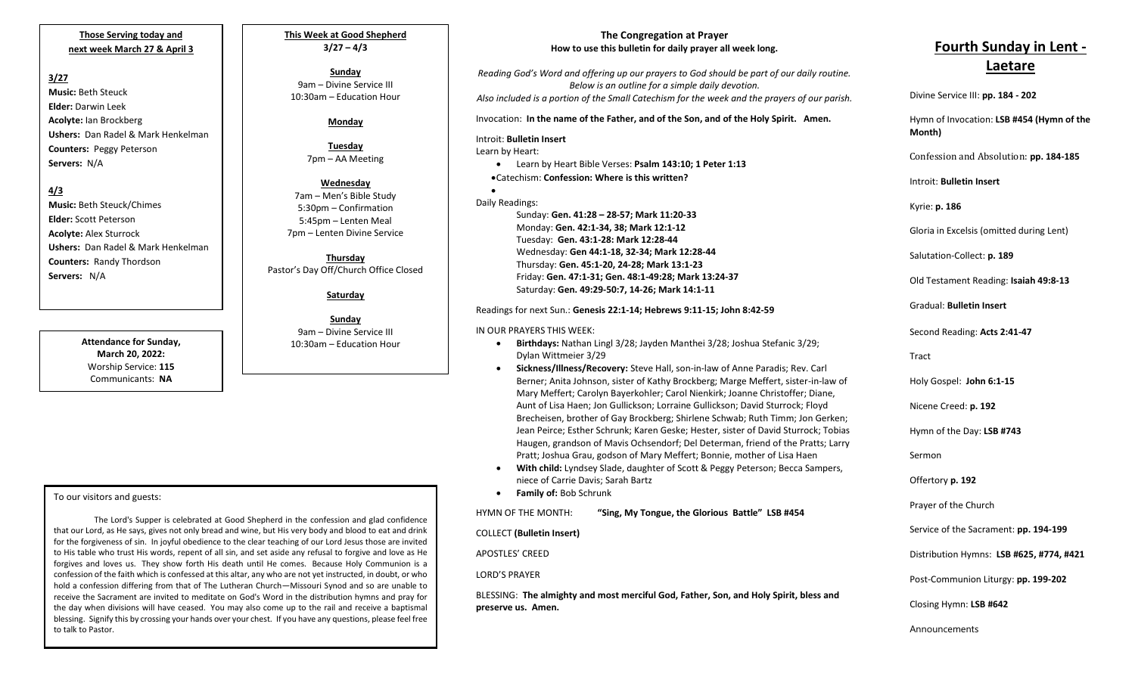### **Those Serving today and next week March 27 & April 3**

#### **3/27**

**Music:** Beth Steuck **Elder:** Darwin Leek **Acolyte:** Ian Brockberg **Ushers:** Dan Radel & Mark Henkelman **Counters:** Peggy Peterson **Servers:** N/A

#### **4/3**

**Music:** Beth Steuck/Chimes **Elder:** Scott Peterson **Acolyte:** Alex Sturrock **Ushers:** Dan Radel & Mark Henkelman **Counters:** Randy Thordson **Servers:** N/A

> **Attendance for Sunday, March 20, 2022:** Worship Service: **115** Communicants: **NA**

# **This Week at Good Shepherd 3/27 – 4/3**

**Sunday**  9am – Divine Service III 10:30am – Education Hour

#### **Monday**

**Tuesday** 7pm – AA Meeting

#### **Wednesday** 7am – Men's Bible Study 5:30pm – Confirmation 5:45pm – Lenten Meal 7pm – Lenten Divine Service

**Thursday** Pastor's Day Off/Church Office Closed

**Saturday**

**Sunday** 9am – Divine Service III 10:30am – Education Hour

To our visitors and guests:

the day when divisions will have ceased. Tou hiay also come up to the rail and receive a baptismar<br>blessing. Signify this by crossing your hands over your chest. If you have any questions, please feel free The Lord's Supper is celebrated at Good Shepherd in the confession and glad confidence that our Lord, as He says, gives not only bread and wine, but His very body and blood to eat and drink for the forgiveness of sin. In joyful obedience to the clear teaching of our Lord Jesus those are invited to His table who trust His words, repent of all sin, and set aside any refusal to forgive and love as He forgives and loves us. They show forth His death until He comes. Because Holy Communion is a confession of the faith which is confessed at this altar, any who are not yet instructed, in doubt, or who hold a confession differing from that of The Lutheran Church—Missouri Synod and so are unable to receive the Sacrament are invited to meditate on God's Word in the distribution hymns and pray for the day when divisions will have ceased. You may also come up to the rail and receive a baptismal to talk to Pastor.

# **The Congregation at Prayer How to use this bulletin for daily prayer all week long.**

*Reading God's Word and offering up our prayers to God should be part of our daily routine. Below is an outline for a simple daily devotion. Also included is a portion of the Small Catechism for the week and the prayers of our parish.*

Invocation: **In the name of the Father, and of the Son, and of the Holy Spirit. Amen.**

# Introit: **Bulletin Insert**

Learn by Heart:

•

• Learn by Heart Bible Verses: **Psalm 143:10; 1 Peter 1:13** •Catechism: **Confession: Where is this written?**

## Daily Readings: Sunday: **Gen. 41:28 – 28-57; Mark 11:20-33** Monday: **Gen. 42:1-34, 38; Mark 12:1-12** Tuesday: **Gen. 43:1-28: Mark 12:28-44** Wednesday: **Gen 44:1-18, 32-34; Mark 12:28-44** Thursday: **Gen. 45:1-20, 24-28; Mark 13:1-23** Friday: **Gen. 47:1-31; Gen. 48:1-49:28; Mark 13:24-37** Saturday: **Gen. 49:29-50:7, 14-26; Mark 14:1-11**

## Readings for next Sun.: **Genesis 22:1-14; Hebrews 9:11-15; John 8:42-59**

#### IN OUR PRAYERS THIS WEEK:

- **Birthdays:** Nathan Lingl 3/28; Jayden Manthei 3/28; Joshua Stefanic 3/29; Dylan Wittmeier 3/29
- **Sickness/Illness/Recovery:** Steve Hall, son-in-law of Anne Paradis; Rev. Carl Berner; Anita Johnson, sister of Kathy Brockberg; Marge Meffert, sister-in-law of Mary Meffert; Carolyn Bayerkohler; Carol Nienkirk; Joanne Christoffer; Diane, Aunt of Lisa Haen; Jon Gullickson; Lorraine Gullickson; David Sturrock; Floyd Brecheisen, brother of Gay Brockberg; Shirlene Schwab; Ruth Timm; Jon Gerken; Jean Peirce; Esther Schrunk; Karen Geske; Hester, sister of David Sturrock; Tobias Haugen, grandson of Mavis Ochsendorf; Del Determan, friend of the Pratts; Larry Pratt; Joshua Grau, godson of Mary Meffert; Bonnie, mother of Lisa Haen
- **With child:** Lyndsey Slade, daughter of Scott & Peggy Peterson; Becca Sampers, niece of Carrie Davis; Sarah Bartz
- **Family of:** Bob Schrunk

HYMN OF THE MONTH: **"Sing, My Tongue, the Glorious Battle" LSB #454**

COLLECT **(Bulletin Insert)**

APOSTLES' CREED

LORD'S PRAYER

BLESSING: **The almighty and most merciful God, Father, Son, and Holy Spirit, bless and preserve us. Amen.**

# **Fourth Sunday in Lent -**

# **Laetare**

Divine Service III: **pp. 184 - 202** Hymn of Invocation: **LSB #454 (Hymn of the** 

**Month)**

Confession and Absolution: **pp. 184-185**

Introit: **Bulletin Insert** 

Kyrie: **p. 186**

Gloria in Excelsis (omitted during Lent)

Salutation-Collect: **p. 189**

Old Testament Reading: **Isaiah 49:8-13**

Gradual: **Bulletin Insert**

Second Reading: **Acts 2:41-47**

Tract

Holy Gospel: **John 6:1-15**

Nicene Creed: **p. 192**

Hymn of the Day: **LSB #743**

Sermon

Offertory **p. 192**

Prayer of the Church

Service of the Sacrament: **pp. 194-199**

Distribution Hymns: **LSB #625, #774, #421**

Post-Communion Liturgy: **pp. 199-202** 

Closing Hymn: **LSB #642**

Announcements